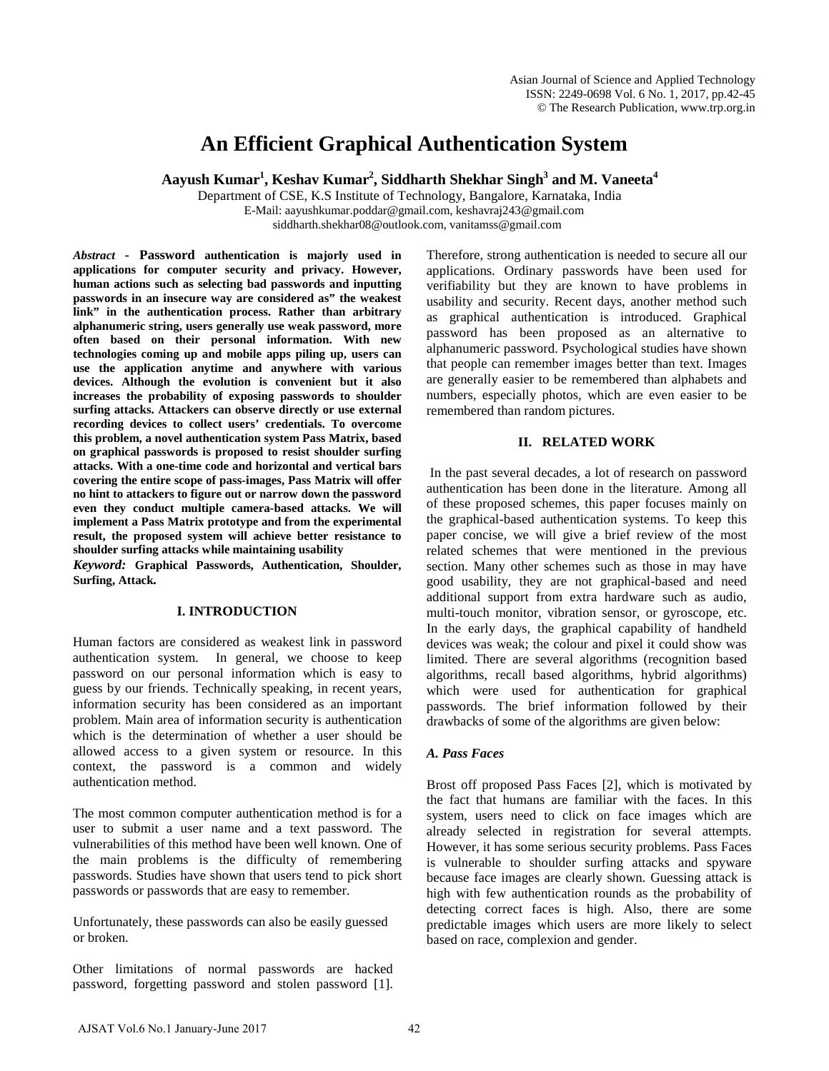# **An Efficient Graphical Authentication System**

**Aayush Kumar1 , Keshav Kumar2 , Siddharth Shekhar Singh3 and M. Vaneeta<sup>4</sup>**

Department of CSE, K.S Institute of Technology, Bangalore, Karnataka, India E-Mail[: aayushkumar.poddar@gmail.com,](mailto:aayushkumar.poddar@gmail.com) keshavraj243@gmail.com siddharth.shekhar08@outlook.com, vanitamss@gmail.com

*Abstract* **- Password authentication is majorly used in applications for computer security and privacy. However, human actions such as selecting bad passwords and inputting passwords in an insecure way are considered as" the weakest link" in the authentication process. Rather than arbitrary alphanumeric string, users generally use weak password, more often based on their personal information. With new technologies coming up and mobile apps piling up, users can use the application anytime and anywhere with various devices. Although the evolution is convenient but it also increases the probability of exposing passwords to shoulder surfing attacks. Attackers can observe directly or use external recording devices to collect users' credentials. To overcome this problem, a novel authentication system Pass Matrix, based on graphical passwords is proposed to resist shoulder surfing attacks. With a one-time code and horizontal and vertical bars covering the entire scope of pass-images, Pass Matrix will offer no hint to attackers to figure out or narrow down the password even they conduct multiple camera-based attacks. We will implement a Pass Matrix prototype and from the experimental result, the proposed system will achieve better resistance to shoulder surfing attacks while maintaining usability**

*Keyword:* **Graphical Passwords, Authentication, Shoulder, Surfing, Attack***.*

#### **I. INTRODUCTION**

Human factors are considered as weakest link in password authentication system. In general, we choose to keep password on our personal information which is easy to guess by our friends. Technically speaking, in recent years, information security has been considered as an important problem. Main area of information security is authentication which is the determination of whether a user should be allowed access to a given system or resource. In this context, the password is a common and widely authentication method.

The most common computer authentication method is for a user to submit a user name and a text password. The vulnerabilities of this method have been well known. One of the main problems is the difficulty of remembering passwords. Studies have shown that users tend to pick short passwords or passwords that are easy to remember.

Unfortunately, these passwords can also be easily guessed or broken.

Other limitations of normal passwords are hacked password, forgetting password and stolen password [1]. Therefore, strong authentication is needed to secure all our applications. Ordinary passwords have been used for verifiability but they are known to have problems in usability and security. Recent days, another method such as graphical authentication is introduced. Graphical password has been proposed as an alternative to alphanumeric password. Psychological studies have shown that people can remember images better than text. Images are generally easier to be remembered than alphabets and numbers, especially photos, which are even easier to be remembered than random pictures.

## **II. RELATED WORK**

In the past several decades, a lot of research on password authentication has been done in the literature. Among all of these proposed schemes, this paper focuses mainly on the graphical-based authentication systems. To keep this paper concise, we will give a brief review of the most related schemes that were mentioned in the previous section. Many other schemes such as those in may have good usability, they are not graphical-based and need additional support from extra hardware such as audio, multi-touch monitor, vibration sensor, or gyroscope, etc. In the early days, the graphical capability of handheld devices was weak; the colour and pixel it could show was limited. There are several algorithms (recognition based algorithms, recall based algorithms, hybrid algorithms) which were used for authentication for graphical passwords. The brief information followed by their drawbacks of some of the algorithms are given below:

## *A. Pass Faces*

Brost off proposed Pass Faces [2], which is motivated by the fact that humans are familiar with the faces. In this system, users need to click on face images which are already selected in registration for several attempts. However, it has some serious security problems. Pass Faces is vulnerable to shoulder surfing attacks and spyware because face images are clearly shown. Guessing attack is high with few authentication rounds as the probability of detecting correct faces is high. Also, there are some predictable images which users are more likely to select based on race, complexion and gender.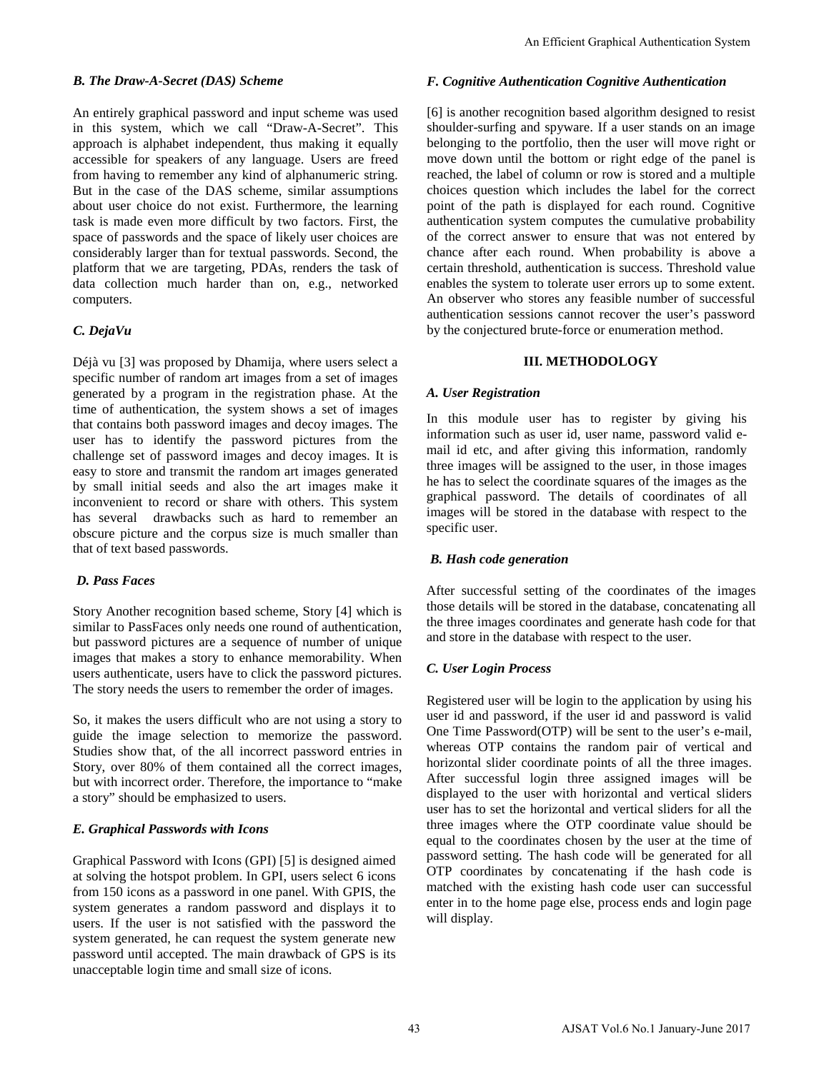#### *B. The Draw-A-Secret (DAS) Scheme*

An entirely graphical password and input scheme was used in this system, which we call "Draw-A-Secret". This approach is alphabet independent, thus making it equally accessible for speakers of any language. Users are freed from having to remember any kind of alphanumeric string. But in the case of the DAS scheme, similar assumptions about user choice do not exist. Furthermore, the learning task is made even more difficult by two factors. First, the space of passwords and the space of likely user choices are considerably larger than for textual passwords. Second, the platform that we are targeting, PDAs, renders the task of data collection much harder than on, e.g., networked computers.

# *C. DejaVu*

Déjà vu [3] was proposed by Dhamija, where users select a specific number of random art images from a set of images generated by a program in the registration phase. At the time of authentication, the system shows a set of images that contains both password images and decoy images. The user has to identify the password pictures from the challenge set of password images and decoy images. It is easy to store and transmit the random art images generated by small initial seeds and also the art images make it inconvenient to record or share with others. This system has several drawbacks such as hard to remember an obscure picture and the corpus size is much smaller than that of text based passwords.

## *D. Pass Faces*

Story Another recognition based scheme, Story [4] which is similar to PassFaces only needs one round of authentication, but password pictures are a sequence of number of unique images that makes a story to enhance memorability. When users authenticate, users have to click the password pictures. The story needs the users to remember the order of images.

So, it makes the users difficult who are not using a story to guide the image selection to memorize the password. Studies show that, of the all incorrect password entries in Story, over 80% of them contained all the correct images, but with incorrect order. Therefore, the importance to "make a story" should be emphasized to users.

## *E. Graphical Passwords with Icons*

Graphical Password with Icons (GPI) [5] is designed aimed at solving the hotspot problem. In GPI, users select 6 icons from 150 icons as a password in one panel. With GPIS, the system generates a random password and displays it to users. If the user is not satisfied with the password the system generated, he can request the system generate new password until accepted. The main drawback of GPS is its unacceptable login time and small size of icons.

## *F. Cognitive Authentication Cognitive Authentication*

[6] is another recognition based algorithm designed to resist shoulder-surfing and spyware. If a user stands on an image belonging to the portfolio, then the user will move right or move down until the bottom or right edge of the panel is reached, the label of column or row is stored and a multiple choices question which includes the label for the correct point of the path is displayed for each round. Cognitive authentication system computes the cumulative probability of the correct answer to ensure that was not entered by chance after each round. When probability is above a certain threshold, authentication is success. Threshold value enables the system to tolerate user errors up to some extent. An observer who stores any feasible number of successful authentication sessions cannot recover the user's password by the conjectured brute-force or enumeration method. An Efficient Graphical Authentication System<br>
F. Cognative Authentication Cognitive Authentication<br>
161 schemes to the cost will recover the subset of the subset algorithm designed to restrict<br>
the subset of the proof of

# **III. METHODOLOGY**

# *A. User Registration*

In this module user has to register by giving his information such as user id, user name, password valid email id etc, and after giving this information, randomly three images will be assigned to the user, in those images he has to select the coordinate squares of the images as the graphical password. The details of coordinates of all images will be stored in the database with respect to the specific user.

## *B. Hash code generation*

After successful setting of the coordinates of the images those details will be stored in the database, concatenating all the three images coordinates and generate hash code for that and store in the database with respect to the user.

# *C. User Login Process*

Registered user will be login to the application by using his user id and password, if the user id and password is valid One Time Password(OTP) will be sent to the user's e-mail, whereas OTP contains the random pair of vertical and horizontal slider coordinate points of all the three images. After successful login three assigned images will be displayed to the user with horizontal and vertical sliders user has to set the horizontal and vertical sliders for all the three images where the OTP coordinate value should be equal to the coordinates chosen by the user at the time of password setting. The hash code will be generated for all OTP coordinates by concatenating if the hash code is matched with the existing hash code user can successful enter in to the home page else, process ends and login page will display.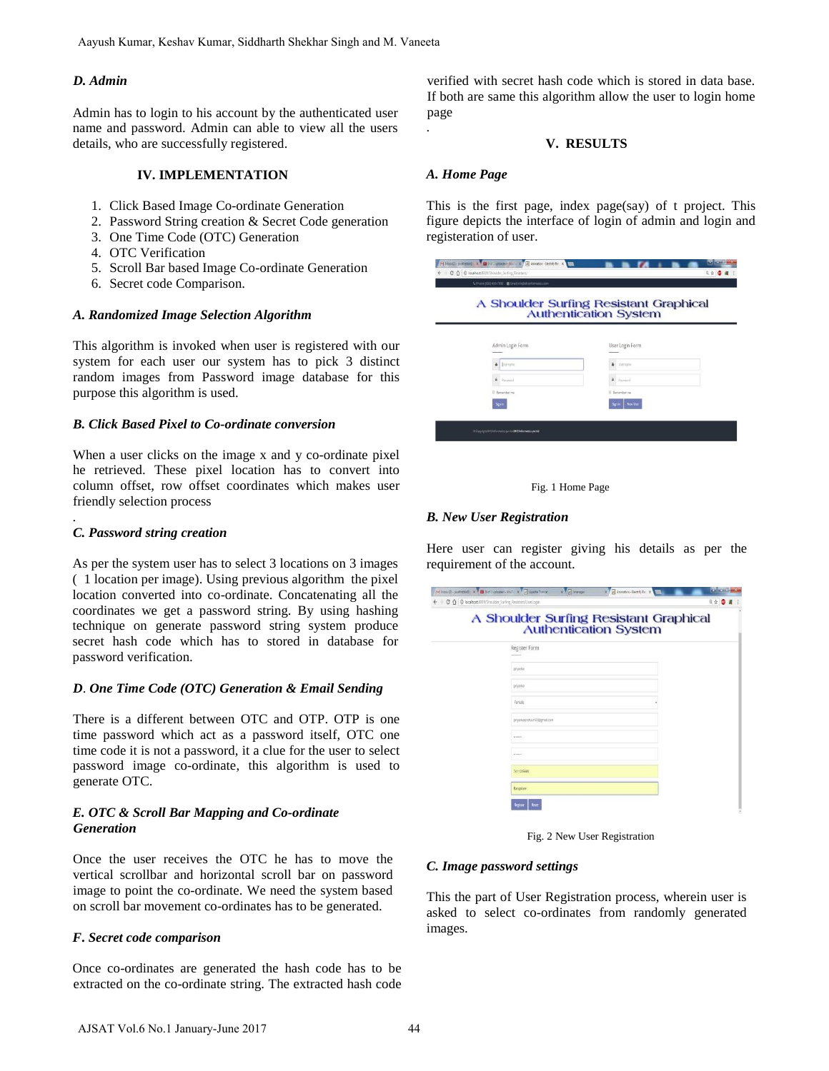## *D. Admin*

Admin has to login to his account by the authenticated user name and password. Admin can able to view all the users details, who are successfully registered.

#### **IV. IMPLEMENTATION**

- 1. Click Based Image Co-ordinate Generation
- 2. Password String creation & Secret Code generation
- 3. One Time Code (OTC) Generation
- 4. OTC Verification
- 5. Scroll Bar based Image Co-ordinate Generation
- 6. Secret code Comparison.

#### *A. Randomized Image Selection Algorithm*

This algorithm is invoked when user is registered with our system for each user our system has to pick 3 distinct random images from Password image database for this purpose this algorithm is used.

## *B. Click Based Pixel to Co-ordinate conversion*

When a user clicks on the image x and y co-ordinate pixel he retrieved. These pixel location has to convert into column offset, row offset coordinates which makes user friendly selection process

## *C. Password string creation*

.

As per the system user has to select 3 locations on 3 images ( 1 location per image). Using previous algorithm the pixel location converted into co-ordinate. Concatenating all the coordinates we get a password string. By using hashing technique on generate password string system produce secret hash code which has to stored in database for password verification. Anyaoh Kumar, Keshav Kumar, Siddharth Shekhar Singh and M. Vaneeta<br>
A*Admin*<br>
A*Admin*<br>
Malinin has to login to his account by the authenticated user<br>
Information and password. Admin can able to view all the users<br>  $\sim$  D

## *D*. *One Time Code (OTC) Generation & Email Sending*

There is a different between OTC and OTP. OTP is one time password which act as a password itself, OTC one time code it is not a password, it a clue for the user to select password image co-ordinate, this algorithm is used to generate OTC.

## *E. OTC & Scroll Bar Mapping and Co-ordinate Generation*

Once the user receives the OTC he has to move the vertical scrollbar and horizontal scroll bar on password image to point the co-ordinate. We need the system based on scroll bar movement co-ordinates has to be generated.

## *F***.** *Secret code comparison*

Once co-ordinates are generated the hash code has to be extracted on the co-ordinate string. The extracted hash code

verified with secret hash code which is stored in data base. If both are same this algorithm allow the user to login home page

## **V. RESULTS**

#### *A. Home Page*

.

This is the first page, index page(say) of t project. This figure depicts the interface of login of admin and login and registeration of user.

|                  | A Shoulder Surfing Resistant Graphical<br>Authentication System |
|------------------|-----------------------------------------------------------------|
|                  |                                                                 |
| Admin Login Form | User Login Form                                                 |
| ۵<br>Ilimnatio   | А<br>Userview                                                   |
| Patients         | Faxwood.                                                        |
| El Euromitar ma  | Il Benavitat me                                                 |
| Sinin            | <b>New Use</b><br>San #i                                        |

Fig. 1 Home Page

## *B. New User Registration*

Here user can register giving his details as per the requirement of the account.

| M Issue (2) - productive = x V (3) 0 of 1 uploaded - YouT = x V (2) Apache Tomcar | x Gilmanner | X Animation - Bechty R x                                               | $T = 0$ $X =$ |
|-----------------------------------------------------------------------------------|-------------|------------------------------------------------------------------------|---------------|
| ← C Q © locabost (00%Shoulder_Surfing_Resistant/Used.ogin                         |             |                                                                        | 日台            |
|                                                                                   |             | A Shoulder Surfing Resistant Graphical<br><b>Authentication System</b> |               |
| Register Form                                                                     |             |                                                                        |               |
| <b>priyerike</b>                                                                  |             |                                                                        |               |
| prijanka                                                                          |             |                                                                        |               |
| Fomale                                                                            |             |                                                                        |               |
| prijankasnsta mill@gmail.com                                                      |             |                                                                        |               |
|                                                                                   |             |                                                                        |               |
| <b>TERRITA</b>                                                                    |             |                                                                        |               |
| 7411205689                                                                        |             |                                                                        |               |
| Bargalore                                                                         |             |                                                                        |               |
| <b>Hesis</b><br>legister                                                          |             |                                                                        |               |
|                                                                                   |             |                                                                        |               |

Fig. 2 New User Registration

## *C. Image password settings*

This the part of User Registration process, wherein user is asked to select co-ordinates from randomly generated images.